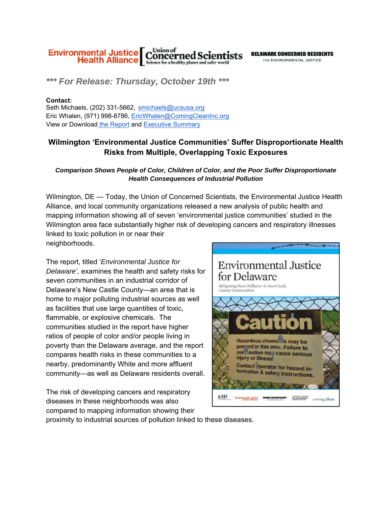

*\*\*\* For Release: Thursday, October 19th \*\*\**

## **Contact:**

Seth Michaels, (202) 331-5662, smichaels@ucsusa.org Eric Whalen, (971) 998-8786, EricWhalen@ComingCleanInc.org View or Download the Report and Executive Summary

## **Wilmington 'Environmental Justice Communities' Suffer Disproportionate Health Risks from Multiple, Overlapping Toxic Exposures**

## *Comparison Shows People of Color, Children of Color, and the Poor Suffer Disproportionate Health Consequences of Industrial Pollution*

Wilmington, DE — Today, the Union of Concerned Scientists, the Environmental Justice Health Alliance, and local community organizations released a new analysis of public health and mapping information showing all of seven 'environmental justice communities' studied in the Wilmington area face substantially higher risk of developing cancers and respiratory illnesses linked to toxic pollution in or near their neighborhoods.

The report, titled '*Environmental Justice for Delaware',* examines the health and safety risks for seven communities in an industrial corridor of Delaware's New Castle County—an area that is home to major polluting industrial sources as well as facilities that use large quantities of toxic, flammable, or explosive chemicals. The communities studied in the report have higher ratios of people of color and/or people living in poverty than the Delaware average, and the report compares health risks in these communities to a nearby, predominantly White and more affluent community—as well as Delaware residents overall.

The risk of developing cancers and respiratory {cSD diseases in these neighborhoods was also compared to mapping information showing their proximity to industrial sources of pollution linked to these diseases.

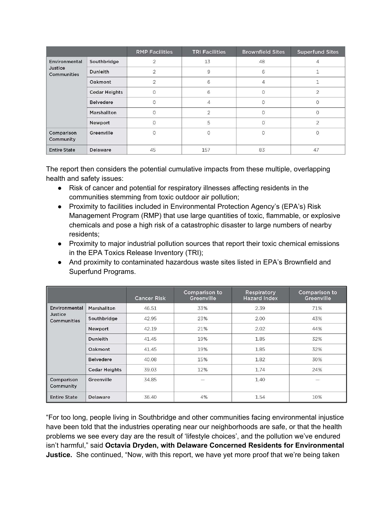|                                                       |                      | <b>RMP Facilities</b> | <b>TRI Facilities</b> | <b>Brownfield Sites</b> | <b>Superfund Sites</b> |
|-------------------------------------------------------|----------------------|-----------------------|-----------------------|-------------------------|------------------------|
| <b>Environmental</b><br>Justice<br><b>Communities</b> | Southbridge          |                       | 13                    | 48                      |                        |
|                                                       | <b>Dunleith</b>      | $\overline{2}$        | 9                     | 6                       |                        |
|                                                       | Oakmont              | $\mathcal{P}$         | 6                     | $\overline{4}$          |                        |
|                                                       | <b>Cedar Heights</b> | $\circ$               | 6                     | $\mathbf{0}$            | $\overline{2}$         |
|                                                       | <b>Belvedere</b>     |                       | $\Delta$              | $\Omega$                |                        |
|                                                       | Marshallton          | $\Omega$              | $\overline{2}$        | $\mathbf{O}$            | $\Omega$               |
|                                                       | Newport              | U                     | 5                     | $\Omega$                | $\overline{2}$         |
| Comparison<br>Community                               | Greenville           | $\overline{O}$        | $\circ$               | $\circ$                 | $\mathsf{O}\xspace$    |
| <b>Entire State</b>                                   | <b>Delaware</b>      | 45                    | 157                   | 83                      | 47                     |

The report then considers the potential cumulative impacts from these multiple, overlapping health and safety issues:

- Risk of cancer and potential for respiratory illnesses affecting residents in the communities stemming from toxic outdoor air pollution;
- Proximity to facilities included in Environmental Protection Agency's (EPA's) Risk Management Program (RMP) that use large quantities of toxic, flammable, or explosive chemicals and pose a high risk of a catastrophic disaster to large numbers of nearby residents;
- Proximity to major industrial pollution sources that report their toxic chemical emissions in the EPA Toxics Release Inventory (TRI);
- And proximity to contaminated hazardous waste sites listed in EPA's Brownfield and Superfund Programs.

|                                         |                      | <b>Cancer Risk</b> | <b>Comparison to</b><br>Greenville | <b>Respiratory</b><br><b>Hazard Index</b> | <b>Comparison to</b><br>Greenville |
|-----------------------------------------|----------------------|--------------------|------------------------------------|-------------------------------------------|------------------------------------|
| Environmental<br>Justice<br>Communities | Marshallton          | 46.51              | 33%                                | 2.39                                      | 71%                                |
|                                         | Southbridge          | 42.95              | 23%                                | 2.00                                      | 43%                                |
|                                         | Newport              | 42.19              | 21%                                | 2.02                                      | 44%                                |
|                                         | Dunleith             | 41.45              | 19%                                | 1.85                                      | 32%                                |
|                                         | Oakmont              | 41.45              | 19%                                | 1.85                                      | 32%                                |
|                                         | <b>Belvedere</b>     | 40.08              | 15%                                | 1.82                                      | 30%                                |
|                                         | <b>Cedar Heights</b> | 39.03              | 12%                                | 1.74                                      | 24%                                |
| Comparison<br>Community                 | Greenville           | 34.85              |                                    | 1.40                                      |                                    |
| <b>Entire State</b>                     | <b>Delaware</b>      | 36.40              | 4%                                 | 1.54                                      | 10%                                |

"For too long, people living in Southbridge and other communities facing environmental injustice have been told that the industries operating near our neighborhoods are safe, or that the health problems we see every day are the result of 'lifestyle choices', and the pollution we've endured isn't harmful," said **Octavia Dryden, with Delaware Concerned Residents for Environmental Justice.** She continued, "Now, with this report, we have yet more proof that we're being taken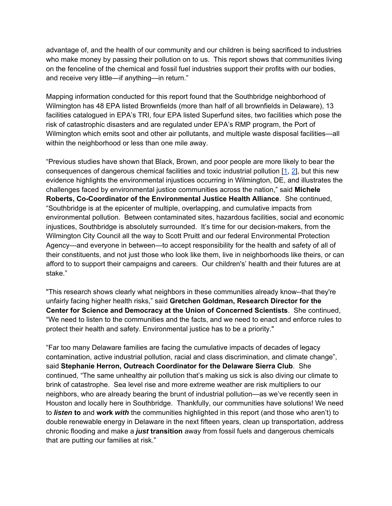advantage of, and the health of our community and our children is being sacrificed to industries who make money by passing their pollution on to us. This report shows that communities living on the fenceline of the chemical and fossil fuel industries support their profits with our bodies, and receive very little—if anything—in return."

Mapping information conducted for this report found that the Southbridge neighborhood of Wilmington has 48 EPA listed Brownfields (more than half of all brownfields in Delaware), 13 facilities catalogued in EPA's TRI, four EPA listed Superfund sites, two facilities which pose the risk of catastrophic disasters and are regulated under EPA's RMP program, the Port of Wilmington which emits soot and other air pollutants, and multiple waste disposal facilities—all within the neighborhood or less than one mile away.

"Previous studies have shown that Black, Brown, and poor people are more likely to bear the consequences of dangerous chemical facilities and toxic industrial pollution [1, 2], but this new evidence highlights the environmental injustices occurring in Wilmington, DE, and illustrates the challenges faced by environmental justice communities across the nation," said **Michele Roberts, Co-Coordinator of the Environmental Justice Health Alliance**. She continued, "Southbridge is at the epicenter of multiple, overlapping, and cumulative impacts from environmental pollution. Between contaminated sites, hazardous facilities, social and economic injustices, Southbridge is absolutely surrounded. It's time for our decision-makers, from the Wilmington City Council all the way to Scott Pruitt and our federal Environmental Protection Agency—and everyone in between—to accept responsibility for the health and safety of all of their constituents, and not just those who look like them, live in neighborhoods like theirs, or can afford to to support their campaigns and careers. Our children's' health and their futures are at stake."

"This research shows clearly what neighbors in these communities already know--that they're unfairly facing higher health risks," said **Gretchen Goldman, Research Director for the Center for Science and Democracy at the Union of Concerned Scientists**. She continued, "We need to listen to the communities and the facts, and we need to enact and enforce rules to protect their health and safety. Environmental justice has to be a priority."

"Far too many Delaware families are facing the cumulative impacts of decades of legacy contamination, active industrial pollution, racial and class discrimination, and climate change", said **Stephanie Herron, Outreach Coordinator for the Delaware Sierra Club**. She continued, "The same unhealthy air pollution that's making us sick is also diving our climate to brink of catastrophe. Sea level rise and more extreme weather are risk multipliers to our neighbors, who are already bearing the brunt of industrial pollution—as we've recently seen in Houston and locally here in Southbridge. Thankfully, our communities have solutions! We need to *listen* **to** and **work** *with* the communities highlighted in this report (and those who aren't) to double renewable energy in Delaware in the next fifteen years, clean up transportation, address chronic flooding and make a *just* **transition** away from fossil fuels and dangerous chemicals that are putting our families at risk."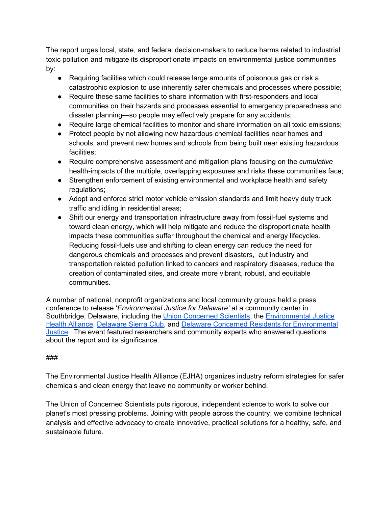The report urges local, state, and federal decision-makers to reduce harms related to industrial toxic pollution and mitigate its disproportionate impacts on environmental justice communities by:

- Requiring facilities which could release large amounts of poisonous gas or risk a catastrophic explosion to use inherently safer chemicals and processes where possible;
- Require these same facilities to share information with first-responders and local communities on their hazards and processes essential to emergency preparedness and disaster planning—so people may effectively prepare for any accidents;
- Require large chemical facilities to monitor and share information on all toxic emissions;
- Protect people by not allowing new hazardous chemical facilities near homes and schools, and prevent new homes and schools from being built near existing hazardous facilities;
- Require comprehensive assessment and mitigation plans focusing on the *cumulative*  health-impacts of the multiple, overlapping exposures and risks these communities face;
- Strengthen enforcement of existing environmental and workplace health and safety regulations;
- Adopt and enforce strict motor vehicle emission standards and limit heavy duty truck traffic and idling in residential areas;
- Shift our energy and transportation infrastructure away from fossil-fuel systems and toward clean energy, which will help mitigate and reduce the disproportionate health impacts these communities suffer throughout the chemical and energy lifecycles. Reducing fossil-fuels use and shifting to clean energy can reduce the need for dangerous chemicals and processes and prevent disasters, cut industry and transportation related pollution linked to cancers and respiratory diseases, reduce the creation of contaminated sites, and create more vibrant, robust, and equitable communities.

A number of national, nonprofit organizations and local community groups held a press conference to release '*Environmental Justice for Delaware'* at a community center in Southbridge, Delaware, including the Union Concerned Scientists, the Environmental Justice Health Alliance, Delaware Sierra Club, and Delaware Concerned Residents for Environmental Justice. The event featured researchers and community experts who answered questions about the report and its significance.

## ###

The Environmental Justice Health Alliance (EJHA) organizes industry reform strategies for safer chemicals and clean energy that leave no community or worker behind.

The Union of Concerned Scientists puts rigorous, independent science to work to solve our planet's most pressing problems. Joining with people across the country, we combine technical analysis and effective advocacy to create innovative, practical solutions for a healthy, safe, and sustainable future.